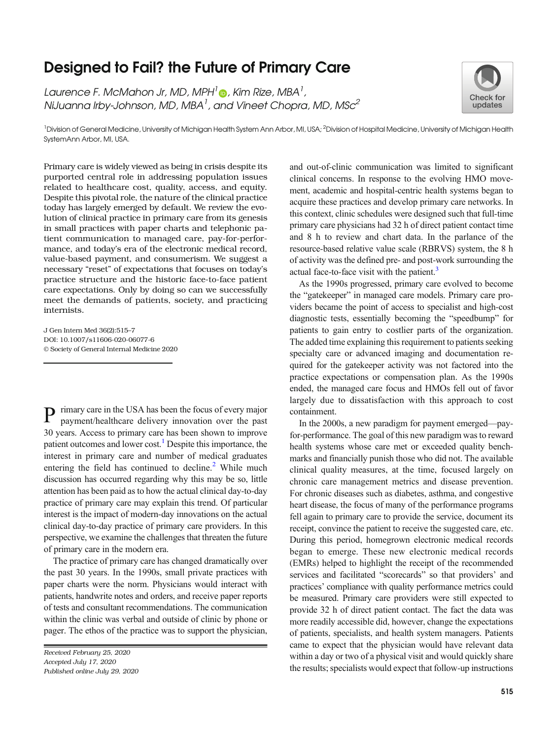## Designed to Fail? the Future of Primary Care

Laurence F. McMahon Jr, MD, MPH $^l$  , Kim Rize, MBA $^l$ , NiJuanna Irby-Johnson, MD, MBA<sup>1</sup>, and Vineet Chopra, MD, MSc<sup>2</sup>



<sup>1</sup> Division of General Medicine, University of Michigan Health System Ann Arbor, MI, USA; <sup>2</sup> Division of Hospital Medicine, University of Michigan Health SystemAnn Arbor, MI, USA.

Primary care is widely viewed as being in crisis despite its purported central role in addressing population issues related to healthcare cost, quality, access, and equity. Despite this pivotal role, the nature of the clinical practice today has largely emerged by default. We review the evolution of clinical practice in primary care from its genesis in small practices with paper charts and telephonic patient communication to managed care, pay-for-performance, and today's era of the electronic medical record, value-based payment, and consumerism. We suggest a necessary "reset" of expectations that focuses on today's practice structure and the historic face-to-face patient care expectations. Only by doing so can we successfully meet the demands of patients, society, and practicing internists.

J Gen Intern Med 36(2):515–7 DOI: 10.1007/s11606-020-06077-6 © Society of General Internal Medicine 2020

P rimary care in the USA has been the focus of every major payment/healthcare delivery innovation over the past 30 years. Access to primary care has been shown to improve patient outcomes and lower cost.<sup>[1](#page-2-0)</sup> Despite this importance, the interest in primary care and number of medical graduates entering the field has continued to decline.<sup>[2](#page-2-0)</sup> While much discussion has occurred regarding why this may be so, little attention has been paid as to how the actual clinical day-to-day practice of primary care may explain this trend. Of particular interest is the impact of modern-day innovations on the actual clinical day-to-day practice of primary care providers. In this perspective, we examine the challenges that threaten the future of primary care in the modern era.

The practice of primary care has changed dramatically over the past 30 years. In the 1990s, small private practices with paper charts were the norm. Physicians would interact with patients, handwrite notes and orders, and receive paper reports of tests and consultant recommendations. The communication within the clinic was verbal and outside of clinic by phone or pager. The ethos of the practice was to support the physician,

and out-of-clinic communication was limited to significant clinical concerns. In response to the evolving HMO movement, academic and hospital-centric health systems began to acquire these practices and develop primary care networks. In this context, clinic schedules were designed such that full-time primary care physicians had 32 h of direct patient contact time and 8 h to review and chart data. In the parlance of the resource-based relative value scale (RBRVS) system, the 8 h of activity was the defined pre- and post-work surrounding the actual face-to-face visit with the patient.<sup>[3](#page-2-0)</sup>

As the 1990s progressed, primary care evolved to become the "gatekeeper" in managed care models. Primary care providers became the point of access to specialist and high-cost diagnostic tests, essentially becoming the "speedbump" for patients to gain entry to costlier parts of the organization. The added time explaining this requirement to patients seeking specialty care or advanced imaging and documentation required for the gatekeeper activity was not factored into the practice expectations or compensation plan. As the 1990s ended, the managed care focus and HMOs fell out of favor largely due to dissatisfaction with this approach to cost containment.

In the 2000s, a new paradigm for payment emerged—payfor-performance. The goal of this new paradigm was to reward health systems whose care met or exceeded quality benchmarks and financially punish those who did not. The available clinical quality measures, at the time, focused largely on chronic care management metrics and disease prevention. For chronic diseases such as diabetes, asthma, and congestive heart disease, the focus of many of the performance programs fell again to primary care to provide the service, document its receipt, convince the patient to receive the suggested care, etc. During this period, homegrown electronic medical records began to emerge. These new electronic medical records (EMRs) helped to highlight the receipt of the recommended services and facilitated "scorecards" so that providers' and practices' compliance with quality performance metrics could be measured. Primary care providers were still expected to provide 32 h of direct patient contact. The fact the data was more readily accessible did, however, change the expectations of patients, specialists, and health system managers. Patients came to expect that the physician would have relevant data within a day or two of a physical visit and would quickly share the results; specialists would expect that follow-up instructions

Received February 25, 2020 Accepted July 17, 2020 Published online July 29, 2020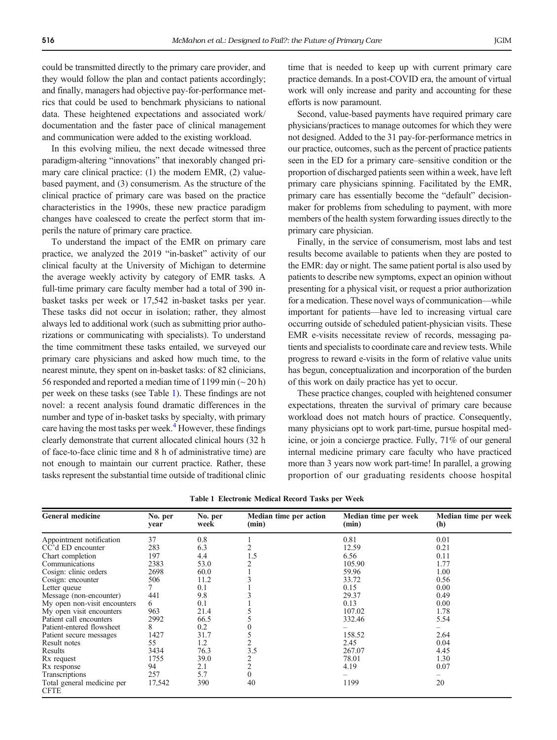could be transmitted directly to the primary care provider, and they would follow the plan and contact patients accordingly; and finally, managers had objective pay-for-performance metrics that could be used to benchmark physicians to national data. These heightened expectations and associated work/ documentation and the faster pace of clinical management and communication were added to the existing workload.

In this evolving milieu, the next decade witnessed three paradigm-altering "innovations" that inexorably changed primary care clinical practice: (1) the modern EMR, (2) valuebased payment, and (3) consumerism. As the structure of the clinical practice of primary care was based on the practice characteristics in the 1990s, these new practice paradigm changes have coalesced to create the perfect storm that imperils the nature of primary care practice.

To understand the impact of the EMR on primary care practice, we analyzed the 2019 "in-basket" activity of our clinical faculty at the University of Michigan to determine the average weekly activity by category of EMR tasks. A full-time primary care faculty member had a total of 390 inbasket tasks per week or 17,542 in-basket tasks per year. These tasks did not occur in isolation; rather, they almost always led to additional work (such as submitting prior authorizations or communicating with specialists). To understand the time commitment these tasks entailed, we surveyed our primary care physicians and asked how much time, to the nearest minute, they spent on in-basket tasks: of 82 clinicians, 56 responded and reported a median time of 1199 min (~ 20 h) per week on these tasks (see Table 1). These findings are not novel: a recent analysis found dramatic differences in the number and type of in-basket tasks by specialty, with primary care having the most tasks per week.<sup>[4](#page-2-0)</sup> However, these findings clearly demonstrate that current allocated clinical hours (32 h of face-to-face clinic time and 8 h of administrative time) are not enough to maintain our current practice. Rather, these tasks represent the substantial time outside of traditional clinic time that is needed to keep up with current primary care practice demands. In a post-COVID era, the amount of virtual work will only increase and parity and accounting for these efforts is now paramount.

Second, value-based payments have required primary care physicians/practices to manage outcomes for which they were not designed. Added to the 31 pay-for-performance metrics in our practice, outcomes, such as the percent of practice patients seen in the ED for a primary care–sensitive condition or the proportion of discharged patients seen within a week, have left primary care physicians spinning. Facilitated by the EMR, primary care has essentially become the "default" decisionmaker for problems from scheduling to payment, with more members of the health system forwarding issues directly to the primary care physician.

Finally, in the service of consumerism, most labs and test results become available to patients when they are posted to the EMR: day or night. The same patient portal is also used by patients to describe new symptoms, expect an opinion without presenting for a physical visit, or request a prior authorization for a medication. These novel ways of communication—while important for patients—have led to increasing virtual care occurring outside of scheduled patient-physician visits. These EMR e-visits necessitate review of records, messaging patients and specialists to coordinate care and review tests. While progress to reward e-visits in the form of relative value units has begun, conceptualization and incorporation of the burden of this work on daily practice has yet to occur.

These practice changes, coupled with heightened consumer expectations, threaten the survival of primary care because workload does not match hours of practice. Consequently, many physicians opt to work part-time, pursue hospital medicine, or join a concierge practice. Fully, 71% of our general internal medicine primary care faculty who have practiced more than 3 years now work part-time! In parallel, a growing proportion of our graduating residents choose hospital

| General medicine                          | No. per<br>year | No. per<br>week | Median time per action<br>(min) | Median time per week<br>(min) | Median time per week<br>(h) |
|-------------------------------------------|-----------------|-----------------|---------------------------------|-------------------------------|-----------------------------|
| Appointment notification                  | 37              | 0.8             |                                 | 0.81                          | 0.01                        |
| CC'd ED encounter                         | 283             | 6.3             |                                 | 12.59                         | 0.21                        |
| Chart completion                          | 197             | 4.4             | 1.5                             | 6.56                          | 0.11                        |
| Communications                            | 2383            | 53.0            |                                 | 105.90                        | 1.77                        |
| Cosign: clinic orders                     | 2698            | 60.0            |                                 | 59.96                         | 1.00                        |
| Cosign: encounter                         | 506             | 11.2            |                                 | 33.72                         | 0.56                        |
| Letter queue                              |                 | 0.1             |                                 | 0.15                          | 0.00                        |
| Message (non-encounter)                   | 441             | 9.8             |                                 | 29.37                         | 0.49                        |
| My open non-visit encounters              | 6               | 0.1             |                                 | 0.13                          | 0.00                        |
| My open visit encounters                  | 963             | 21.4            |                                 | 107.02                        | 1.78                        |
| Patient call encounters                   | 2992            | 66.5            |                                 | 332.46                        | 5.54                        |
| Patient-entered flowsheet                 | 8               | 0.2             |                                 |                               |                             |
| Patient secure messages                   | 1427            | 31.7            |                                 | 158.52                        | 2.64                        |
| Result notes                              | 55              | 1.2             |                                 | 2.45                          | 0.04                        |
| Results                                   | 3434            | 76.3            | 3.5                             | 267.07                        | 4.45                        |
| R <sub>x</sub> request                    | 1755            | 39.0            | 2                               | 78.01                         | 1.30                        |
| R <sub>x</sub> response                   | 94              | 2.1             | $\overline{c}$                  | 4.19                          | 0.07                        |
| <b>Transcriptions</b>                     | 257             | 5.7             | $\mathbf{0}$                    |                               |                             |
| Total general medicine per<br><b>CFTE</b> | 17,542          | 390             | 40                              | 1199                          | 20                          |

Table 1 Electronic Medical Record Tasks per Week